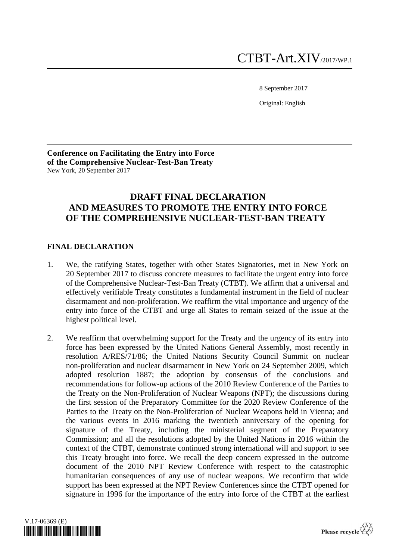8 September 2017

Original: English

**Conference on Facilitating the Entry into Force of the Comprehensive Nuclear-Test-Ban Treaty** New York, 20 September 2017

# **DRAFT FINAL DECLARATION AND MEASURES TO PROMOTE THE ENTRY INTO FORCE OF THE COMPREHENSIVE NUCLEAR-TEST-BAN TREATY**

## **FINAL DECLARATION**

- 1. We, the ratifying States, together with other States Signatories, met in New York on 20 September 2017 to discuss concrete measures to facilitate the urgent entry into force of the Comprehensive Nuclear-Test-Ban Treaty (CTBT). We affirm that a universal and effectively verifiable Treaty constitutes a fundamental instrument in the field of nuclear disarmament and non-proliferation. We reaffirm the vital importance and urgency of the entry into force of the CTBT and urge all States to remain seized of the issue at the highest political level.
- 2. We reaffirm that overwhelming support for the Treaty and the urgency of its entry into force has been expressed by the United Nations General Assembly, most recently in resolution A/RES/71/86; the United Nations Security Council Summit on nuclear non-proliferation and nuclear disarmament in New York on 24 September 2009, which adopted resolution 1887; the adoption by consensus of the conclusions and recommendations for follow-up actions of the 2010 Review Conference of the Parties to the Treaty on the Non-Proliferation of Nuclear Weapons (NPT); the discussions during the first session of the Preparatory Committee for the 2020 Review Conference of the Parties to the Treaty on the Non-Proliferation of Nuclear Weapons held in Vienna; and the various events in 2016 marking the twentieth anniversary of the opening for signature of the Treaty, including the ministerial segment of the Preparatory Commission; and all the resolutions adopted by the United Nations in 2016 within the context of the CTBT, demonstrate continued strong international will and support to see this Treaty brought into force. We recall the deep concern expressed in the outcome document of the 2010 NPT Review Conference with respect to the catastrophic humanitarian consequences of any use of nuclear weapons. We reconfirm that wide support has been expressed at the NPT Review Conferences since the CTBT opened for signature in 1996 for the importance of the entry into force of the CTBT at the earliest

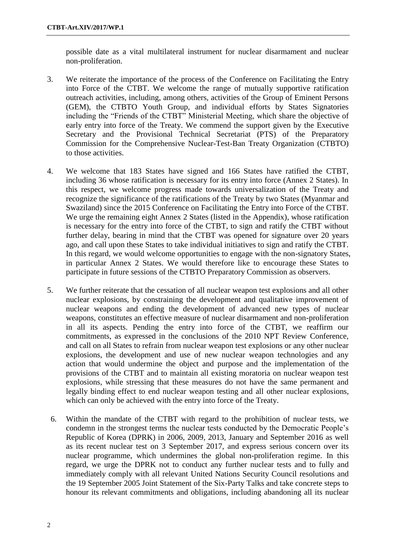possible date as a vital multilateral instrument for nuclear disarmament and nuclear non-proliferation.

- 3. We reiterate the importance of the process of the Conference on Facilitating the Entry into Force of the CTBT. We welcome the range of mutually supportive ratification outreach activities, including, among others, activities of the Group of Eminent Persons (GEM), the CTBTO Youth Group, and individual efforts by States Signatories including the "Friends of the CTBT" Ministerial Meeting, which share the objective of early entry into force of the Treaty. We commend the support given by the Executive Secretary and the Provisional Technical Secretariat (PTS) of the Preparatory Commission for the Comprehensive Nuclear-Test-Ban Treaty Organization (CTBTO) to those activities.
- 4. We welcome that 183 States have signed and 166 States have ratified the CTBT, including 36 whose ratification is necessary for its entry into force (Annex 2 States). In this respect, we welcome progress made towards universalization of the Treaty and recognize the significance of the ratifications of the Treaty by two States (Myanmar and Swaziland) since the 2015 Conference on Facilitating the Entry into Force of the CTBT. We urge the remaining eight Annex 2 States (listed in the Appendix), whose ratification is necessary for the entry into force of the CTBT, to sign and ratify the CTBT without further delay, bearing in mind that the CTBT was opened for signature over 20 years ago, and call upon these States to take individual initiatives to sign and ratify the CTBT. In this regard, we would welcome opportunities to engage with the non-signatory States, in particular Annex 2 States. We would therefore like to encourage these States to participate in future sessions of the CTBTO Preparatory Commission as observers.
- 5. We further reiterate that the cessation of all nuclear weapon test explosions and all other nuclear explosions, by constraining the development and qualitative improvement of nuclear weapons and ending the development of advanced new types of nuclear weapons, constitutes an effective measure of nuclear disarmament and non-proliferation in all its aspects. Pending the entry into force of the CTBT, we reaffirm our commitments, as expressed in the conclusions of the 2010 NPT Review Conference, and call on all States to refrain from nuclear weapon test explosions or any other nuclear explosions, the development and use of new nuclear weapon technologies and any action that would undermine the object and purpose and the implementation of the provisions of the CTBT and to maintain all existing moratoria on nuclear weapon test explosions, while stressing that these measures do not have the same permanent and legally binding effect to end nuclear weapon testing and all other nuclear explosions, which can only be achieved with the entry into force of the Treaty.
- 6. Within the mandate of the CTBT with regard to the prohibition of nuclear tests, we condemn in the strongest terms the nuclear tests conducted by the Democratic People's Republic of Korea (DPRK) in 2006, 2009, 2013, January and September 2016 as well as its recent nuclear test on 3 September 2017, and express serious concern over its nuclear programme, which undermines the global non-proliferation regime. In this regard, we urge the DPRK not to conduct any further nuclear tests and to fully and immediately comply with all relevant United Nations Security Council resolutions and the 19 September 2005 Joint Statement of the Six-Party Talks and take concrete steps to honour its relevant commitments and obligations, including abandoning all its nuclear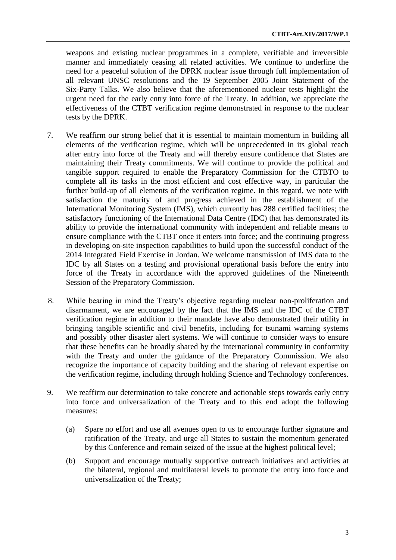weapons and existing nuclear programmes in a complete, verifiable and irreversible manner and immediately ceasing all related activities. We continue to underline the need for a peaceful solution of the DPRK nuclear issue through full implementation of all relevant UNSC resolutions and the 19 September 2005 Joint Statement of the Six-Party Talks. We also believe that the aforementioned nuclear tests highlight the urgent need for the early entry into force of the Treaty. In addition, we appreciate the effectiveness of the CTBT verification regime demonstrated in response to the nuclear tests by the DPRK.

- 7. We reaffirm our strong belief that it is essential to maintain momentum in building all elements of the verification regime, which will be unprecedented in its global reach after entry into force of the Treaty and will thereby ensure confidence that States are maintaining their Treaty commitments. We will continue to provide the political and tangible support required to enable the Preparatory Commission for the CTBTO to complete all its tasks in the most efficient and cost effective way, in particular the further build-up of all elements of the verification regime. In this regard, we note with satisfaction the maturity of and progress achieved in the establishment of the International Monitoring System (IMS), which currently has 288 certified facilities; the satisfactory functioning of the International Data Centre (IDC) that has demonstrated its ability to provide the international community with independent and reliable means to ensure compliance with the CTBT once it enters into force; and the continuing progress in developing on-site inspection capabilities to build upon the successful conduct of the 2014 Integrated Field Exercise in Jordan. We welcome transmission of IMS data to the IDC by all States on a testing and provisional operational basis before the entry into force of the Treaty in accordance with the approved guidelines of the Nineteenth Session of the Preparatory Commission.
- 8. While bearing in mind the Treaty's objective regarding nuclear non-proliferation and disarmament, we are encouraged by the fact that the IMS and the IDC of the CTBT verification regime in addition to their mandate have also demonstrated their utility in bringing tangible scientific and civil benefits, including for tsunami warning systems and possibly other disaster alert systems. We will continue to consider ways to ensure that these benefits can be broadly shared by the international community in conformity with the Treaty and under the guidance of the Preparatory Commission. We also recognize the importance of capacity building and the sharing of relevant expertise on the verification regime, including through holding Science and Technology conferences.
- 9. We reaffirm our determination to take concrete and actionable steps towards early entry into force and universalization of the Treaty and to this end adopt the following measures:
	- (a) Spare no effort and use all avenues open to us to encourage further signature and ratification of the Treaty, and urge all States to sustain the momentum generated by this Conference and remain seized of the issue at the highest political level;
	- (b) Support and encourage mutually supportive outreach initiatives and activities at the bilateral, regional and multilateral levels to promote the entry into force and universalization of the Treaty;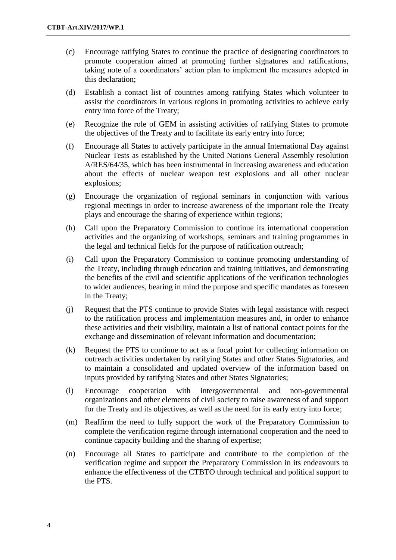- (c) Encourage ratifying States to continue the practice of designating coordinators to promote cooperation aimed at promoting further signatures and ratifications, taking note of a coordinators' action plan to implement the measures adopted in this declaration;
- (d) Establish a contact list of countries among ratifying States which volunteer to assist the coordinators in various regions in promoting activities to achieve early entry into force of the Treaty;
- (e) Recognize the role of GEM in assisting activities of ratifying States to promote the objectives of the Treaty and to facilitate its early entry into force;
- (f) Encourage all States to actively participate in the annual International Day against Nuclear Tests as established by the United Nations General Assembly resolution A/RES/64/35, which has been instrumental in increasing awareness and education about the effects of nuclear weapon test explosions and all other nuclear explosions;
- (g) Encourage the organization of regional seminars in conjunction with various regional meetings in order to increase awareness of the important role the Treaty plays and encourage the sharing of experience within regions;
- (h) Call upon the Preparatory Commission to continue its international cooperation activities and the organizing of workshops, seminars and training programmes in the legal and technical fields for the purpose of ratification outreach;
- (i) Call upon the Preparatory Commission to continue promoting understanding of the Treaty, including through education and training initiatives, and demonstrating the benefits of the civil and scientific applications of the verification technologies to wider audiences, bearing in mind the purpose and specific mandates as foreseen in the Treaty;
- (j) Request that the PTS continue to provide States with legal assistance with respect to the ratification process and implementation measures and, in order to enhance these activities and their visibility, maintain a list of national contact points for the exchange and dissemination of relevant information and documentation;
- (k) Request the PTS to continue to act as a focal point for collecting information on outreach activities undertaken by ratifying States and other States Signatories, and to maintain a consolidated and updated overview of the information based on inputs provided by ratifying States and other States Signatories;
- (l) Encourage cooperation with intergovernmental and non-governmental organizations and other elements of civil society to raise awareness of and support for the Treaty and its objectives, as well as the need for its early entry into force;
- (m) Reaffirm the need to fully support the work of the Preparatory Commission to complete the verification regime through international cooperation and the need to continue capacity building and the sharing of expertise;
- (n) Encourage all States to participate and contribute to the completion of the verification regime and support the Preparatory Commission in its endeavours to enhance the effectiveness of the CTBTO through technical and political support to the PTS.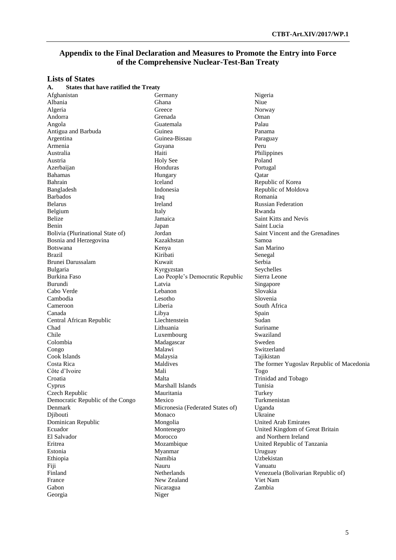### **Appendix to the Final Declaration and Measures to Promote the Entry into Force of the Comprehensive Nuclear-Test-Ban Treaty**

# **Lists of States**

| <b>States that have ratified the Treaty</b><br>А. |                                  |                                           |
|---------------------------------------------------|----------------------------------|-------------------------------------------|
| Afghanistan                                       | Germany                          | Nigeria                                   |
| Albania                                           | Ghana                            | Niue                                      |
| Algeria                                           | Greece                           | Norway                                    |
| Andorra                                           | Grenada                          | Oman                                      |
| Angola                                            | Guatemala                        | Palau                                     |
| Antigua and Barbuda                               | Guinea                           | Panama                                    |
| Argentina                                         | Guinea-Bissau                    | Paraguay                                  |
| Armenia                                           | Guyana                           | Peru                                      |
| Australia                                         | Haiti                            | Philippines                               |
| Austria                                           | <b>Holy See</b>                  | Poland                                    |
| Azerbaijan                                        | Honduras                         | Portugal                                  |
| <b>Bahamas</b>                                    | Hungary                          | Qatar                                     |
| Bahrain                                           | Iceland                          | Republic of Korea                         |
| Bangladesh                                        | Indonesia                        | Republic of Moldova                       |
| <b>Barbados</b>                                   | Iraq                             | Romania                                   |
| <b>Belarus</b>                                    | Ireland                          | <b>Russian Federation</b>                 |
| Belgium                                           | Italy                            | Rwanda                                    |
| Belize                                            | Jamaica                          | Saint Kitts and Nevis                     |
| Benin                                             | Japan                            | Saint Lucia                               |
| Bolivia (Plurinational State of)                  | Jordan                           | Saint Vincent and the Grenadines          |
| Bosnia and Herzegovina                            | Kazakhstan                       | Samoa                                     |
| <b>Botswana</b>                                   | Kenya                            | San Marino                                |
| <b>Brazil</b>                                     | Kiribati                         | Senegal                                   |
| Brunei Darussalam                                 | Kuwait                           | Serbia                                    |
| Bulgaria                                          | Kyrgyzstan                       | Seychelles                                |
| Burkina Faso                                      | Lao People's Democratic Republic | Sierra Leone                              |
| Burundi                                           | Latvia                           | Singapore                                 |
| Cabo Verde                                        | Lebanon                          | Slovakia                                  |
| Cambodia                                          | Lesotho                          | Slovenia                                  |
| Cameroon                                          | Liberia                          | South Africa                              |
| Canada                                            | Libya                            | Spain                                     |
| Central African Republic                          | Liechtenstein                    | Sudan                                     |
| Chad                                              | Lithuania                        | Suriname                                  |
| Chile                                             | Luxembourg                       | Swaziland                                 |
| Colombia                                          | Madagascar                       | Sweden                                    |
| Congo                                             | Malawi                           | Switzerland                               |
| Cook Islands                                      | Malaysia                         | Tajikistan                                |
| Costa Rica                                        | Maldives                         | The former Yugoslav Republic of Macedonia |
| Côte d'Ivoire                                     | Mali                             | Togo                                      |
| Croatia                                           | Malta                            | Trinidad and Tobago                       |
| Cyprus                                            | Marshall Islands                 | Tunisia                                   |
| Czech Republic                                    | Mauritania                       | Turkey                                    |
| Democratic Republic of the Congo                  | Mexico                           | Turkmenistan                              |
| Denmark                                           | Micronesia (Federated States of) | Uganda                                    |
| Djibouti                                          | Monaco                           | Ukraine                                   |
| Dominican Republic                                | Mongolia                         | <b>United Arab Emirates</b>               |
| Ecuador                                           | Montenegro                       | United Kingdom of Great Britain           |
| El Salvador                                       | Morocco                          | and Northern Ireland                      |
| Eritrea                                           | Mozambique                       | United Republic of Tanzania               |
| Estonia                                           | Myanmar                          | Uruguay                                   |
| Ethiopia                                          | Namibia                          | Uzbekistan                                |
| Fiji                                              | Nauru                            | Vanuatu                                   |
| Finland                                           | Netherlands                      | Venezuela (Bolivarian Republic of)        |
| France                                            | New Zealand                      | Viet Nam                                  |
| Gabon                                             | Nicaragua                        | Zambia                                    |
| Georgia                                           | Niger                            |                                           |